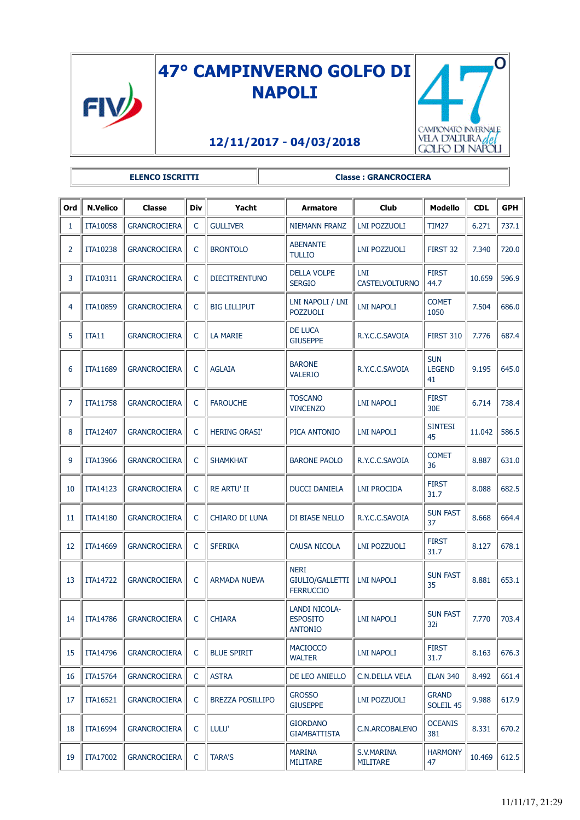

## **47° CAMPINVERNO GOLFO DI NAPOLI**



.<br>El

## **12/11/2017 - 04/03/2018**

|                | <b>ELENCO ISCRITTI</b> |                     |              |                         | <b>Classe: GRANCROCIERA</b>                        |                               |                                   |            |            |  |
|----------------|------------------------|---------------------|--------------|-------------------------|----------------------------------------------------|-------------------------------|-----------------------------------|------------|------------|--|
| Ord            | <b>N.Velico</b>        | <b>Classe</b>       | Div          | Yacht                   | <b>Armatore</b>                                    | <b>Club</b>                   | <b>Modello</b>                    | <b>CDL</b> | <b>GPH</b> |  |
| 1              | <b>ITA10058</b>        | <b>GRANCROCIERA</b> | $\mathsf{C}$ | <b>GULLIVER</b>         | <b>NIEMANN FRANZ</b>                               | <b>LNI POZZUOLI</b>           | <b>TIM27</b>                      | 6.271      | 737.1      |  |
| $\overline{2}$ | ITA10238               | <b>GRANCROCIERA</b> | C            | <b>BRONTOLO</b>         | <b>ABENANTE</b><br><b>TULLIO</b>                   | LNI POZZUOLI                  | FIRST 32                          | 7.340      | 720.0      |  |
| 3              | ITA10311               | <b>GRANCROCIERA</b> | C            | <b>DIECITRENTUNO</b>    | <b>DELLA VOLPE</b><br><b>SERGIO</b>                | LNI<br><b>CASTELVOLTURNO</b>  | <b>FIRST</b><br>44.7              | 10.659     | 596.9      |  |
| 4              | <b>ITA10859</b>        | <b>GRANCROCIERA</b> | C            | <b>BIG LILLIPUT</b>     | LNI NAPOLI / LNI<br><b>POZZUOLI</b>                | <b>LNI NAPOLI</b>             | <b>COMET</b><br>1050              | 7.504      | 686.0      |  |
| 5              | ITA11                  | <b>GRANCROCIERA</b> | $\mathsf{C}$ | <b>LA MARIE</b>         | DE LUCA<br><b>GIUSEPPE</b>                         | R.Y.C.C.SAVOIA                | <b>FIRST 310</b>                  | 7.776      | 687.4      |  |
| 6              | ITA11689               | <b>GRANCROCIERA</b> | C            | <b>AGLAIA</b>           | <b>BARONE</b><br><b>VALERIO</b>                    | R.Y.C.C.SAVOIA                | <b>SUN</b><br><b>LEGEND</b><br>41 | 9.195      | 645.0      |  |
| 7              | <b>ITA11758</b>        | <b>GRANCROCIERA</b> | $\mathsf{C}$ | <b>FAROUCHE</b>         | <b>TOSCANO</b><br><b>VINCENZO</b>                  | <b>LNI NAPOLI</b>             | <b>FIRST</b><br>30E               | 6.714      | 738.4      |  |
| 8              | ITA12407               | <b>GRANCROCIERA</b> | $\mathsf{C}$ | <b>HERING ORASI'</b>    | PICA ANTONIO                                       | <b>LNI NAPOLI</b>             | <b>SINTESI</b><br>45              | 11.042     | 586.5      |  |
| 9              | ITA13966               | <b>GRANCROCIERA</b> | C            | <b>SHAMKHAT</b>         | <b>BARONE PAOLO</b>                                | R.Y.C.C.SAVOIA                | <b>COMET</b><br>36                | 8.887      | 631.0      |  |
| 10             | ITA14123               | <b>GRANCROCIERA</b> | C            | <b>RE ARTU' II</b>      | <b>DUCCI DANIELA</b>                               | <b>LNI PROCIDA</b>            | <b>FIRST</b><br>31.7              | 8.088      | 682.5      |  |
| 11             | <b>ITA14180</b>        | <b>GRANCROCIERA</b> | $\mathsf{C}$ | CHIARO DI LUNA          | DI BIASE NELLO                                     | R.Y.C.C.SAVOIA                | <b>SUN FAST</b><br>37             | 8.668      | 664.4      |  |
| 12             | ITA14669               | <b>GRANCROCIERA</b> | C            | <b>SFERIKA</b>          | <b>CAUSA NICOLA</b>                                | LNI POZZUOLI                  | <b>FIRST</b><br>31.7              | 8.127      | 678.1      |  |
| 13             | <b>ITA14722</b>        | <b>GRANCROCIERA</b> | C            | <b>ARMADA NUEVA</b>     | <b>NERI</b><br>GIULIO/GALLETTI<br><b>FERRUCCIO</b> | <b>LNI NAPOLI</b>             | <b>SUN FAST</b><br>35             | 8.881      | 653.1      |  |
| 14             | ITA14786               | <b>GRANCROCIERA</b> | C            | <b>CHIARA</b>           | LANDI NICOLA-<br><b>ESPOSITO</b><br><b>ANTONIO</b> | <b>LNI NAPOLI</b>             | <b>SUN FAST</b><br>32i            | 7.770      | 703.4      |  |
| 15             | ITA14796               | <b>GRANCROCIERA</b> | C            | <b>BLUE SPIRIT</b>      | <b>MACIOCCO</b><br><b>WALTER</b>                   | LNI NAPOLI                    | <b>FIRST</b><br>31.7              | 8.163      | 676.3      |  |
| 16             | <b>ITA15764</b>        | <b>GRANCROCIERA</b> | C            | <b>ASTRA</b>            | DE LEO ANIELLO                                     | <b>C.N.DELLA VELA</b>         | <b>ELAN 340</b>                   | 8.492      | 661.4      |  |
| 17             | ITA16521               | <b>GRANCROCIERA</b> | C            | <b>BREZZA POSILLIPO</b> | <b>GROSSO</b><br><b>GIUSEPPE</b>                   | LNI POZZUOLI                  | <b>GRAND</b><br>SOLEIL 45         | 9.988      | 617.9      |  |
| 18             | <b>ITA16994</b>        | <b>GRANCROCIERA</b> | C            | LULU'                   | <b>GIORDANO</b><br>GIAMBATTISTA                    | <b>C.N.ARCOBALENO</b>         | <b>OCEANIS</b><br>381             | 8.331      | 670.2      |  |
| 19             | <b>ITA17002</b>        | <b>GRANCROCIERA</b> | $\mathsf{C}$ | <b>TARA'S</b>           | <b>MARINA</b><br><b>MILITARE</b>                   | S.V.MARINA<br><b>MILITARE</b> | <b>HARMONY</b><br>47              | 10.469     | 612.5      |  |